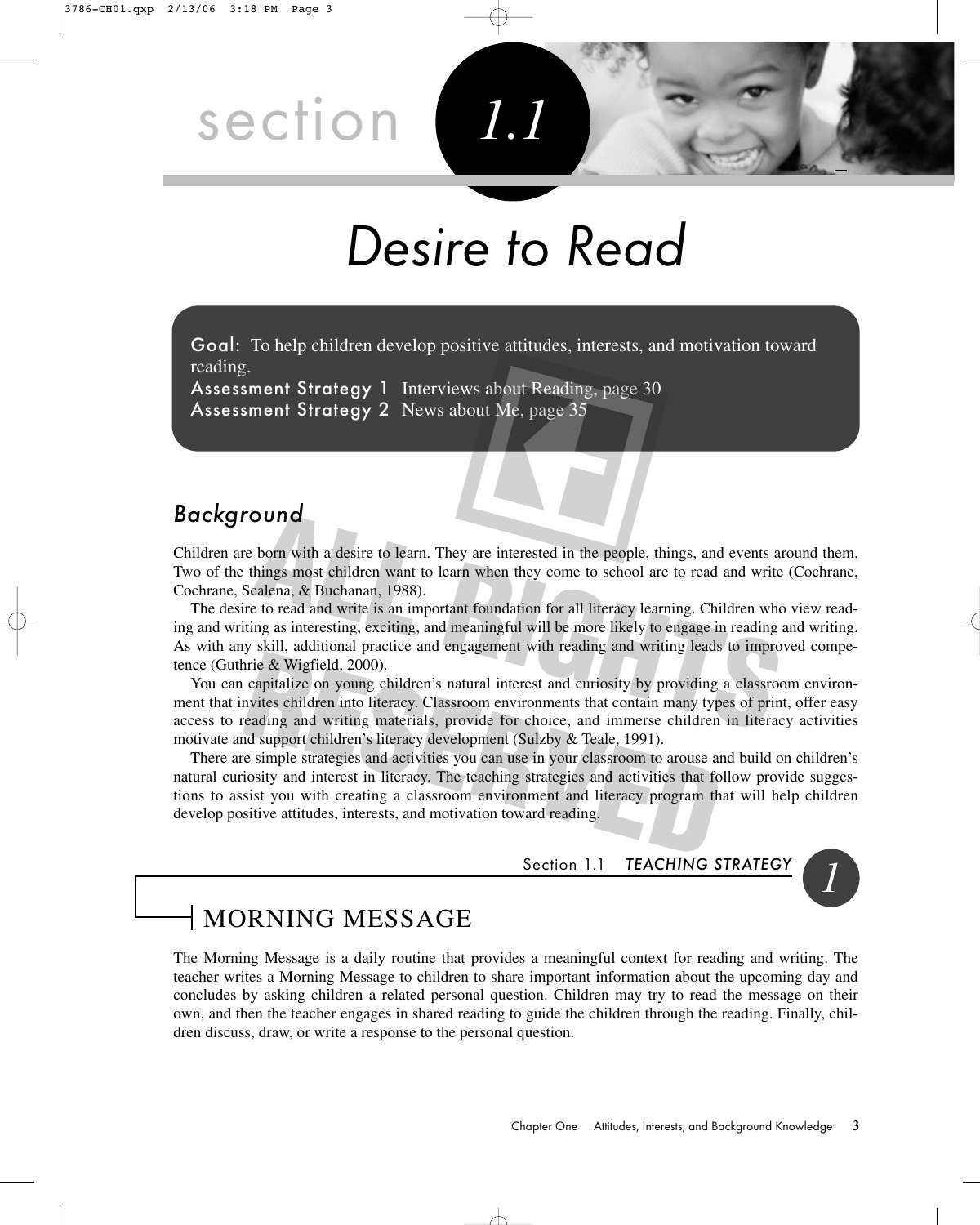### section

### Desire to Read

*1.1*

Goal: To help children develop positive attitudes, interests, and motivation toward reading.

Assessment Strategy 1 Interviews about Reading, page 30 Assessment Strategy 2 News about Me, page 35

#### Background

Children are born with a desire to learn. They are interested in the people, things, and events around them. Two of the things most children want to learn when they come to school are to read and write (Cochrane, Cochrane, Scalena, & Buchanan, 1988).

The desire to read and write is an important foundation for all literacy learning. Children who view reading and writing as interesting, exciting, and meaningful will be more likely to engage in reading and writing. As with any skill, additional practice and engagement with reading and writing leads to improved competence (Guthrie & Wigfield, 2000). **OUNC**<br>
born with a desire to learn. They are interested in the people, things, and events at<br>
things most children want to learn when they come to school are to read and write<br>
calena, & Buchanan, 1988).<br>
e to read and wr

You can capitalize on young children's natural interest and curiosity by providing a classroom environment that invites children into literacy. Classroom environments that contain many types of print, offer easy access to reading and writing materials, provide for choice, and immerse children in literacy activities motivate and support children's literacy development (Sulzby & Teale, 1991). and the Wigfield, 2000).<br>
The & Wigfield, 2000).<br>
Capitalize on young children's natural interest and curiosity by providing<br>
novites children into literacy. Classroom environments that contain many type<br>
reading and writi

There are simple strategies and activities you can use in your classroom to arouse and build on children's natural curiosity and interest in literacy. The teaching strategies and activities that follow provide suggestions to assist you with creating a classroom environment and literacy program that will help children develop positive attitudes, interests, and motivation toward reading.

Section 1.1 **TEACHING STRATEGY** 



#### MORNING MESSAGE

The Morning Message is a daily routine that provides a meaningful context for reading and writing. The teacher writes a Morning Message to children to share important information about the upcoming day and concludes by asking children a related personal question. Children may try to read the message on their own, and then the teacher engages in shared reading to guide the children through the reading. Finally, children discuss, draw, or write a response to the personal question.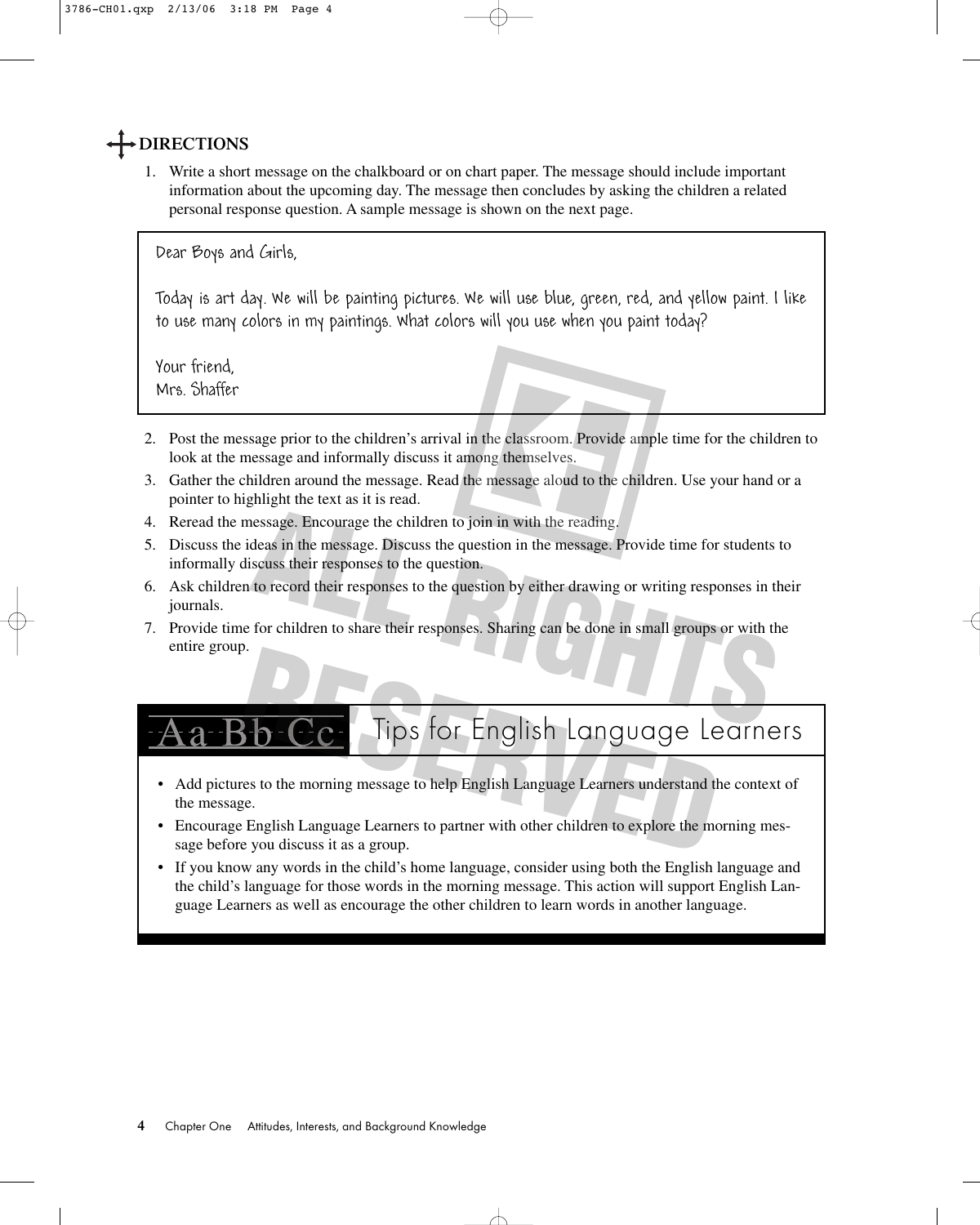#### **DIRECTIONS**

1. Write a short message on the chalkboard or on chart paper. The message should include important information about the upcoming day. The message then concludes by asking the children a related personal response question. A sample message is shown on the next page.

Dear Boys and Girls,

Today is art day. We will be painting pictures. We will use blue, green, red, and yellow paint. I like to use many colors in my paintings. What colors will you use when you paint today?

Your friend, Mrs. Shaffer

- 2. Post the message prior to the children's arrival in the classroom. Provide ample time for the children to look at the message and informally discuss it among themselves.
- 3. Gather the children around the message. Read the message aloud to the children. Use your hand or a pointer to highlight the text as it is read.
- 4. Reread the message. Encourage the children to join in with the reading.
- 5. Discuss the ideas in the message. Discuss the question in the message. Provide time for students to informally discuss their responses to the question. nessage. Encourage the children to join in with the reading.<br>
deas in the message. Discuss the question in the message. Provide time for students<br>
iscuss their responses to the question.<br>
to record their responses to the q
- 6. Ask children to record their responses to the question by either drawing or writing responses in their journals.
- 7. Provide time for children to share their responses. Sharing can be done in small groups or with the entire group.

## Tips for English Language Learners **B-b-C-c-** Tips for English Language Leff<br>res to the morning message to help English Language Learners understand the<br>rese.<br>Penglish Language Learners to partner with other children to explore the more you discuss it as a

- Add pictures to the morning message to help English Language Learners understand the context of the message.
- Encourage English Language Learners to partner with other children to explore the morning message before you discuss it as a group.
- If you know any words in the child's home language, consider using both the English language and the child's language for those words in the morning message. This action will support English Language Learners as well as encourage the other children to learn words in another language.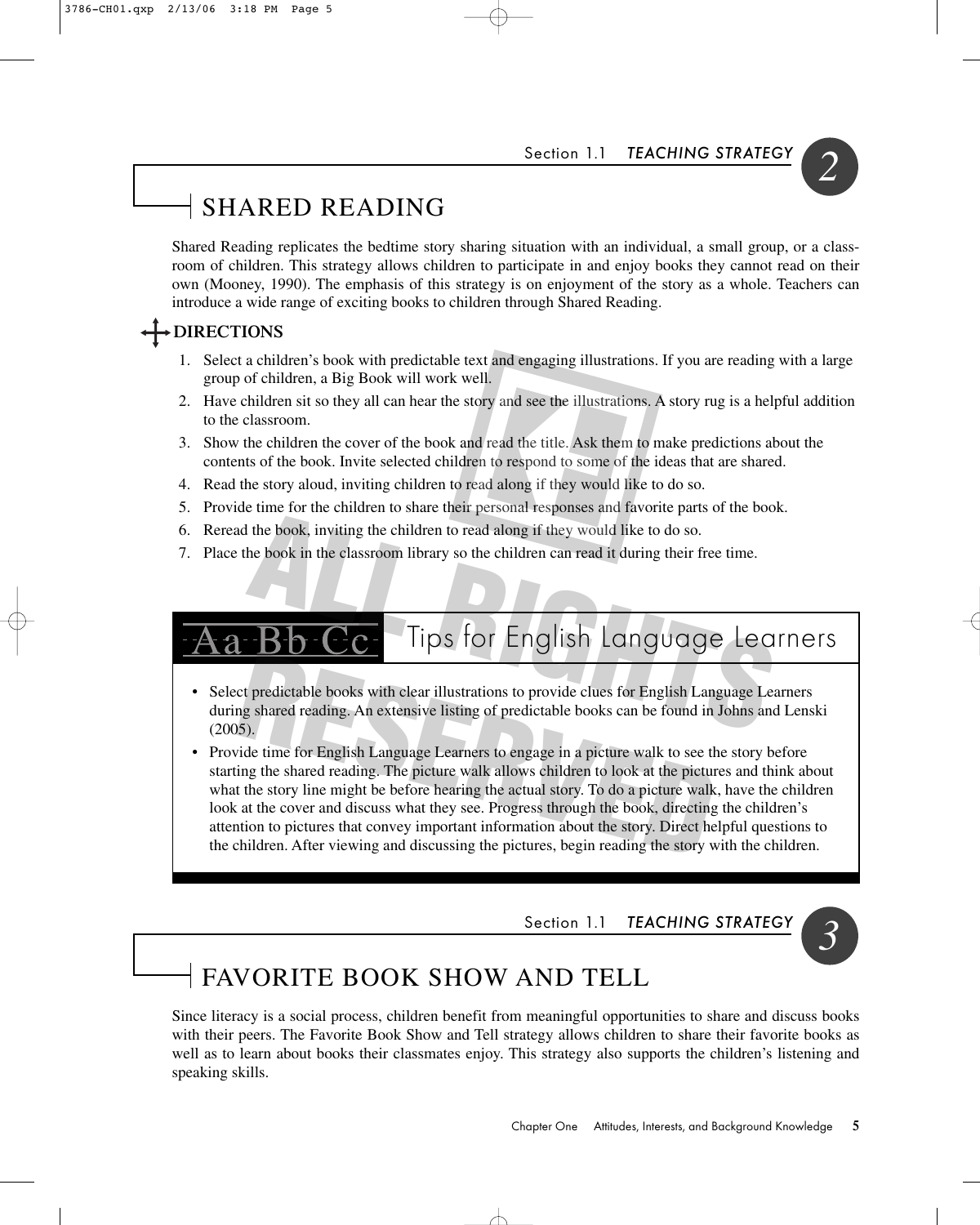Section 1.1 TEACHING STRATEGY

#### SHARED READING

Shared Reading replicates the bedtime story sharing situation with an individual, a small group, or a classroom of children. This strategy allows children to participate in and enjoy books they cannot read on their own (Mooney, 1990). The emphasis of this strategy is on enjoyment of the story as a whole. Teachers can introduce a wide range of exciting books to children through Shared Reading.

#### **← DIRECTIONS**

- 1. Select a children's book with predictable text and engaging illustrations. If you are reading with a large group of children, a Big Book will work well.
- 2. Have children sit so they all can hear the story and see the illustrations. A story rug is a helpful addition to the classroom.
- 3. Show the children the cover of the book and read the title. Ask them to make predictions about the contents of the book. Invite selected children to respond to some of the ideas that are shared.
- 4. Read the story aloud, inviting children to read along if they would like to do so.
- 5. Provide time for the children to share their personal responses and favorite parts of the book.
- 6. Reread the book, inviting the children to read along if they would like to do so.
- 7. Place the book in the classroom library so the children can read it during their free time.

#### Tips for English Language Learners

- Select predictable books with clear illustrations to provide clues for English Language Learners during shared reading. An extensive listing of predictable books can be found in Johns and Lenski (2005). Final Comparison of the book, inviting the children to read along if they would like to do so.<br>
Tips for English Language Learning their free time.<br>
Tips for English Language Learning their free time.<br>
Tips for English Lan
- Provide time for English Language Learners to engage in a picture walk to see the story before starting the shared reading. The picture walk allows children to look at the pictures and think about what the story line might be before hearing the actual story. To do a picture walk, have the children look at the cover and discuss what they see. Progress through the book, directing the children's attention to pictures that convey important information about the story. Direct helpful questions to the children. After viewing and discussing the pictures, begin reading the story with the children. ct predictable books with clear illustrations to provide clues for English Lan<br>ng shared reading. An extensive listing of predictable books can be found in<br>5).<br>vide time for English Language Learners to engage in a picture

Section 1.1 TEACHING STRATEGY



*2*

#### FAVORITE BOOK SHOW AND TELL

Since literacy is a social process, children benefit from meaningful opportunities to share and discuss books with their peers. The Favorite Book Show and Tell strategy allows children to share their favorite books as well as to learn about books their classmates enjoy. This strategy also supports the children's listening and speaking skills.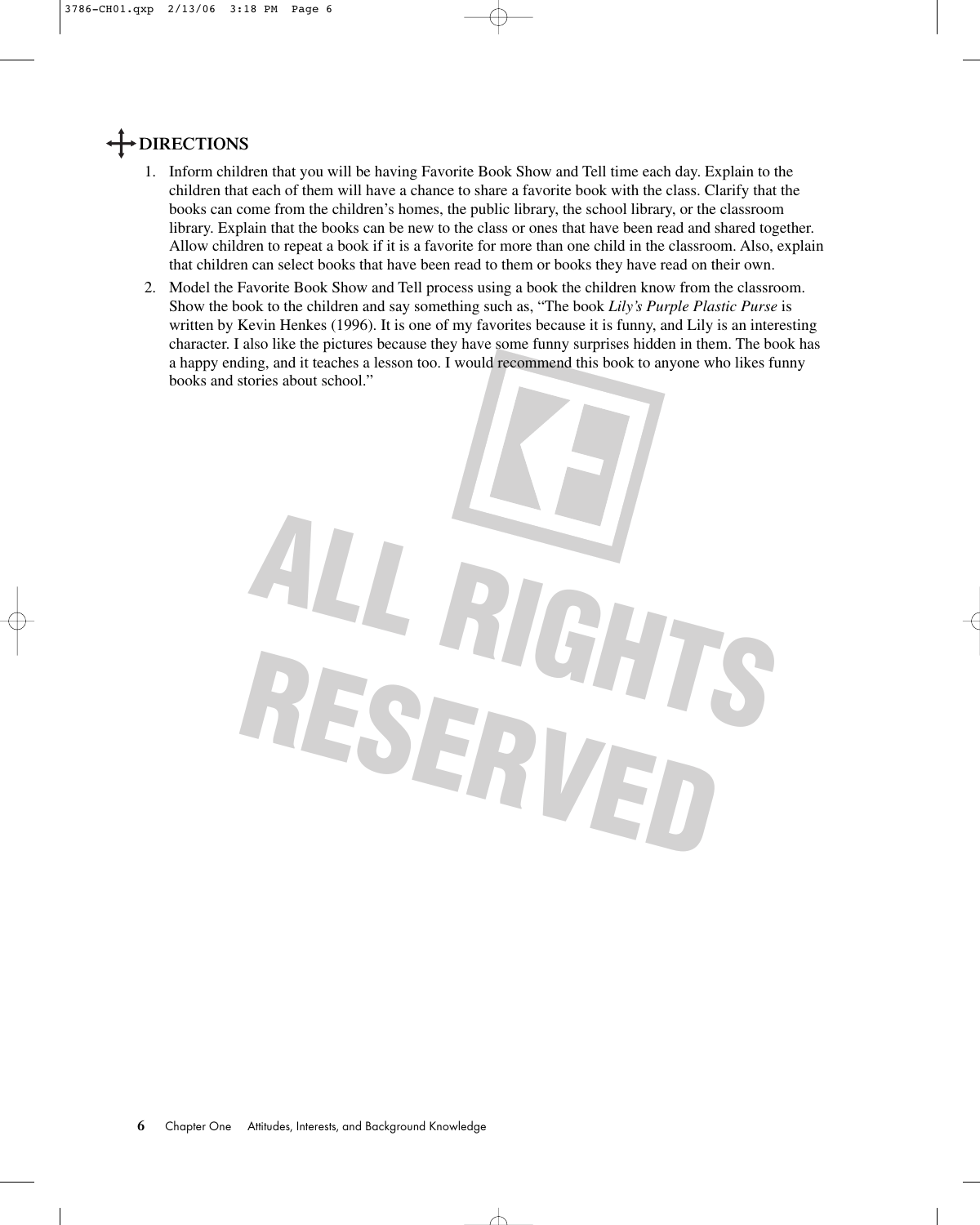#### $\bigoplus$  DIRECTIONS

- 1. Inform children that you will be having Favorite Book Show and Tell time each day. Explain to the children that each of them will have a chance to share a favorite book with the class. Clarify that the books can come from the children's homes, the public library, the school library, or the classroom library. Explain that the books can be new to the class or ones that have been read and shared together. Allow children to repeat a book if it is a favorite for more than one child in the classroom. Also, explain that children can select books that have been read to them or books they have read on their own.
- 2. Model the Favorite Book Show and Tell process using a book the children know from the classroom. Show the book to the children and say something such as, "The book *Lily's Purple Plastic Purse* is written by Kevin Henkes (1996). It is one of my favorites because it is funny, and Lily is an interesting character. I also like the pictures because they have some funny surprises hidden in them. The book has a happy ending, and it teaches a lesson too. I would recommend this book to anyone who likes funny books and stories about school."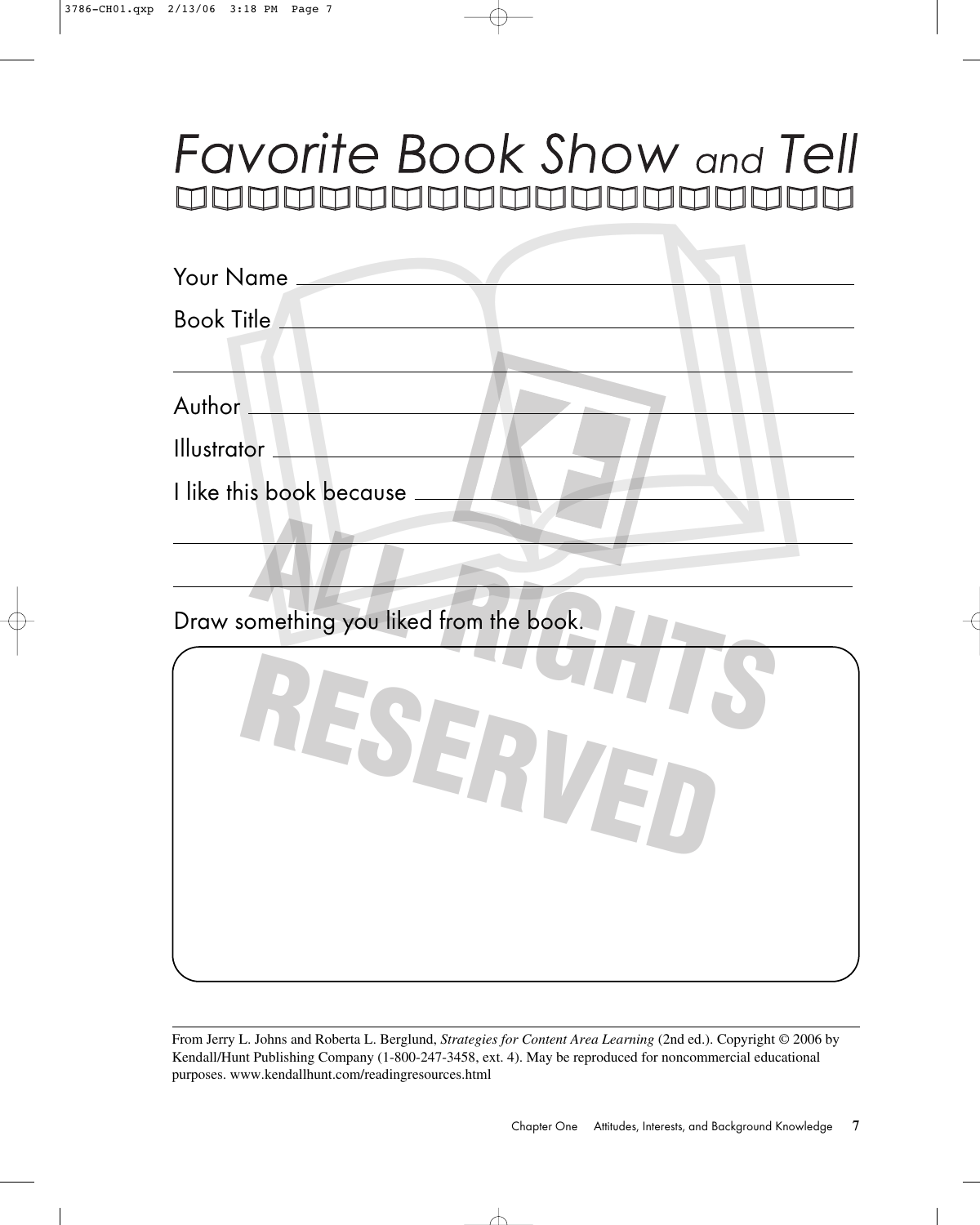## Favorite Book Show and Tell

|                                                                                                                                                                                                                                      | UUUUUUUUUUUUUUUUUUUUUUUU |
|--------------------------------------------------------------------------------------------------------------------------------------------------------------------------------------------------------------------------------------|--------------------------|
| Your Name                                                                                                                                                                                                                            |                          |
|                                                                                                                                                                                                                                      |                          |
|                                                                                                                                                                                                                                      |                          |
|                                                                                                                                                                                                                                      |                          |
| Author Author Author Author Author Author Author Author Author Author Author Author Author Author Au                                                                                                                                 |                          |
|                                                                                                                                                                                                                                      |                          |
| Illustrator <u>New York and the Band of Band of the Band of Band of the Band of the Band of the Band of the Band of the Band of the Band of the Band of the Band of the Band of the Band of the Band of the Band of the Band of </u> |                          |
|                                                                                                                                                                                                                                      |                          |
|                                                                                                                                                                                                                                      |                          |
|                                                                                                                                                                                                                                      |                          |
|                                                                                                                                                                                                                                      |                          |
| Draw something you liked from the book.                                                                                                                                                                                              |                          |
|                                                                                                                                                                                                                                      |                          |
|                                                                                                                                                                                                                                      |                          |
|                                                                                                                                                                                                                                      |                          |
|                                                                                                                                                                                                                                      |                          |

From Jerry L. Johns and Roberta L. Berglund, *Strategies for Content Area Learning* (2nd ed.). Copyright © 2006 by Kendall/Hunt Publishing Company (1-800-247-3458, ext. 4). May be reproduced for noncommercial educational purposes. www.kendallhunt.com/readingresources.html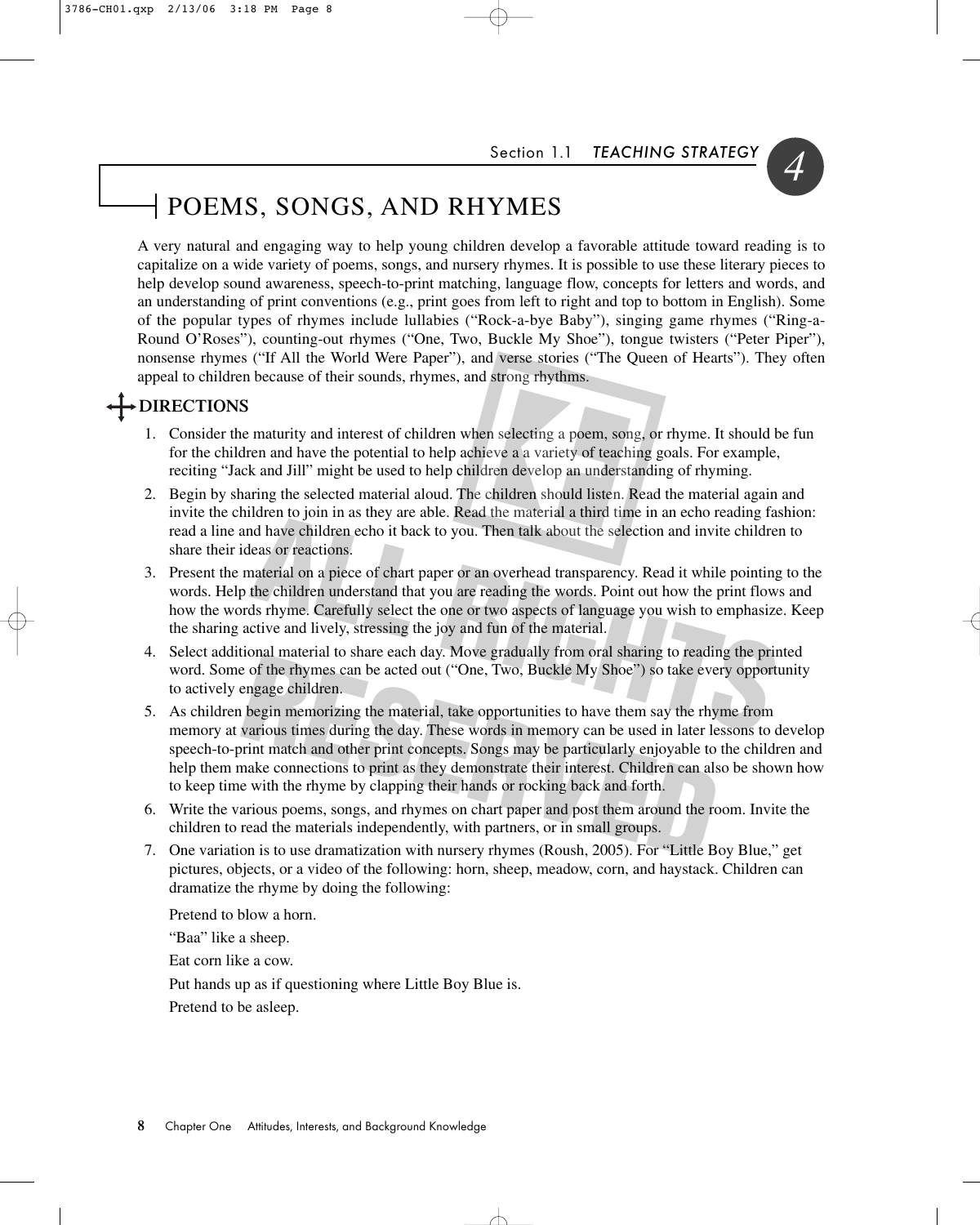*4*

#### POEMS, SONGS, AND RHYMES

A very natural and engaging way to help young children develop a favorable attitude toward reading is to capitalize on a wide variety of poems, songs, and nursery rhymes. It is possible to use these literary pieces to help develop sound awareness, speech-to-print matching, language flow, concepts for letters and words, and an understanding of print conventions (e.g., print goes from left to right and top to bottom in English). Some of the popular types of rhymes include lullabies ("Rock-a-bye Baby"), singing game rhymes ("Ring-a-Round O'Roses"), counting-out rhymes ("One, Two, Buckle My Shoe"), tongue twisters ("Peter Piper"), nonsense rhymes ("If All the World Were Paper"), and verse stories ("The Queen of Hearts"). They often appeal to children because of their sounds, rhymes, and strong rhythms.

#### **DIRECTIONS**

- 1. Consider the maturity and interest of children when selecting a poem, song, or rhyme. It should be fun for the children and have the potential to help achieve a a variety of teaching goals. For example, reciting "Jack and Jill" might be used to help children develop an understanding of rhyming.
- 2. Begin by sharing the selected material aloud. The children should listen. Read the material again and invite the children to join in as they are able. Read the material a third time in an echo reading fashion: read a line and have children echo it back to you. Then talk about the selection and invite children to share their ideas or reactions.
- 3. Present the material on a piece of chart paper or an overhead transparency. Read it while pointing to the words. Help the children understand that you are reading the words. Point out how the print flows and how the words rhyme. Carefully select the one or two aspects of language you wish to emphasize. Keep the sharing active and lively, stressing the joy and fun of the material. nd have children echo it back to you. Then talk about the selection and invite children<br>leas or reactions.<br>Inaterial on a piece of chart paper or an overhead transparency. Read it while pointing<br>the children understand tha
- 4. Select additional material to share each day. Move gradually from oral sharing to reading the printed word. Some of the rhymes can be acted out ("One, Two, Buckle My Shoe") so take every opportunity to actively engage children.
- 5. As children begin memorizing the material, take opportunities to have them say the rhyme from memory at various times during the day. These words in memory can be used in later lessons to develop speech-to-print match and other print concepts. Songs may be particularly enjoyable to the children and help them make connections to print as they demonstrate their interest. Children can also be shown how to keep time with the rhyme by clapping their hands or rocking back and forth. For the read the material control of the material control of the rhymes can be acted out ("One, Two, Buckle My Shoe") so take eveer agage children.<br>
I begin memorizing the material, take opportunities to have them say the
- 6. Write the various poems, songs, and rhymes on chart paper and post them around the room. Invite the children to read the materials independently, with partners, or in small groups.
- 7. One variation is to use dramatization with nursery rhymes (Roush, 2005). For "Little Boy Blue," get pictures, objects, or a video of the following: horn, sheep, meadow, corn, and haystack. Children can dramatize the rhyme by doing the following:

Pretend to blow a horn.

"Baa" like a sheep.

Eat corn like a cow.

Put hands up as if questioning where Little Boy Blue is.

Pretend to be asleep.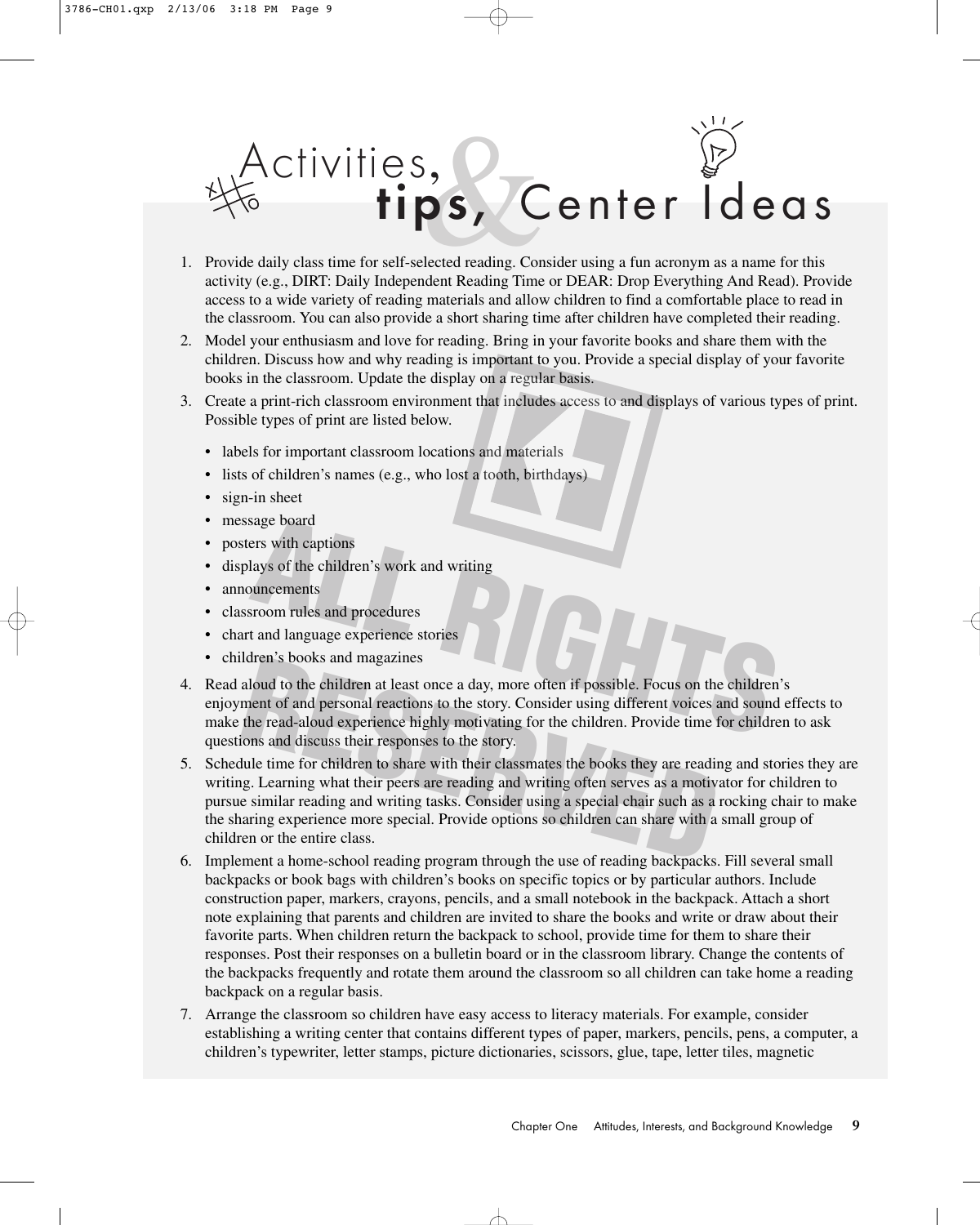# & Activities, tips, Center Ideas

- 1. Provide daily class time for self-selected reading. Consider using a fun acronym as a name for this activity (e.g., DIRT: Daily Independent Reading Time or DEAR: Drop Everything And Read). Provide access to a wide variety of reading materials and allow children to find a comfortable place to read in the classroom. You can also provide a short sharing time after children have completed their reading.
- 2. Model your enthusiasm and love for reading. Bring in your favorite books and share them with the children. Discuss how and why reading is important to you. Provide a special display of your favorite books in the classroom. Update the display on a regular basis.
- 3. Create a print-rich classroom environment that includes access to and displays of various types of print. Possible types of print are listed below.
	- labels for important classroom locations and materials
	- lists of children's names (e.g., who lost a tooth, birthdays)
	- sign-in sheet
	- message board
	- posters with captions
	- displays of the children's work and writing
	- announcements
	- classroom rules and procedures
	- chart and language experience stories
	- children's books and magazines
- 4. Read aloud to the children at least once a day, more often if possible. Focus on the children's enjoyment of and personal reactions to the story. Consider using different voices and sound effects to make the read-aloud experience highly motivating for the children. Provide time for children to ask questions and discuss their responses to the story. sage board<br>lays of the children's work and writing<br>suncements<br>sroom rules and procedures<br>t and language experience stories<br>dren's books and magazines<br>loud to the children at least once a day, more often if possible. Focus
- 5. Schedule time for children to share with their classmates the books they are reading and stories they are writing. Learning what their peers are reading and writing often serves as a motivator for children to pursue similar reading and writing tasks. Consider using a special chair such as a rocking chair to make the sharing experience more special. Provide options so children can share with a small group of children or the entire class. idion is books and magazines<br>aloud to the children at least once a day, more often if possible. Focus on the<br>ment of and personal reactions to the story. Consider using different voices a<br>the read-aloud experience highly m
- 6. Implement a home-school reading program through the use of reading backpacks. Fill several small backpacks or book bags with children's books on specific topics or by particular authors. Include construction paper, markers, crayons, pencils, and a small notebook in the backpack. Attach a short note explaining that parents and children are invited to share the books and write or draw about their favorite parts. When children return the backpack to school, provide time for them to share their responses. Post their responses on a bulletin board or in the classroom library. Change the contents of the backpacks frequently and rotate them around the classroom so all children can take home a reading backpack on a regular basis.
- 7. Arrange the classroom so children have easy access to literacy materials. For example, consider establishing a writing center that contains different types of paper, markers, pencils, pens, a computer, a children's typewriter, letter stamps, picture dictionaries, scissors, glue, tape, letter tiles, magnetic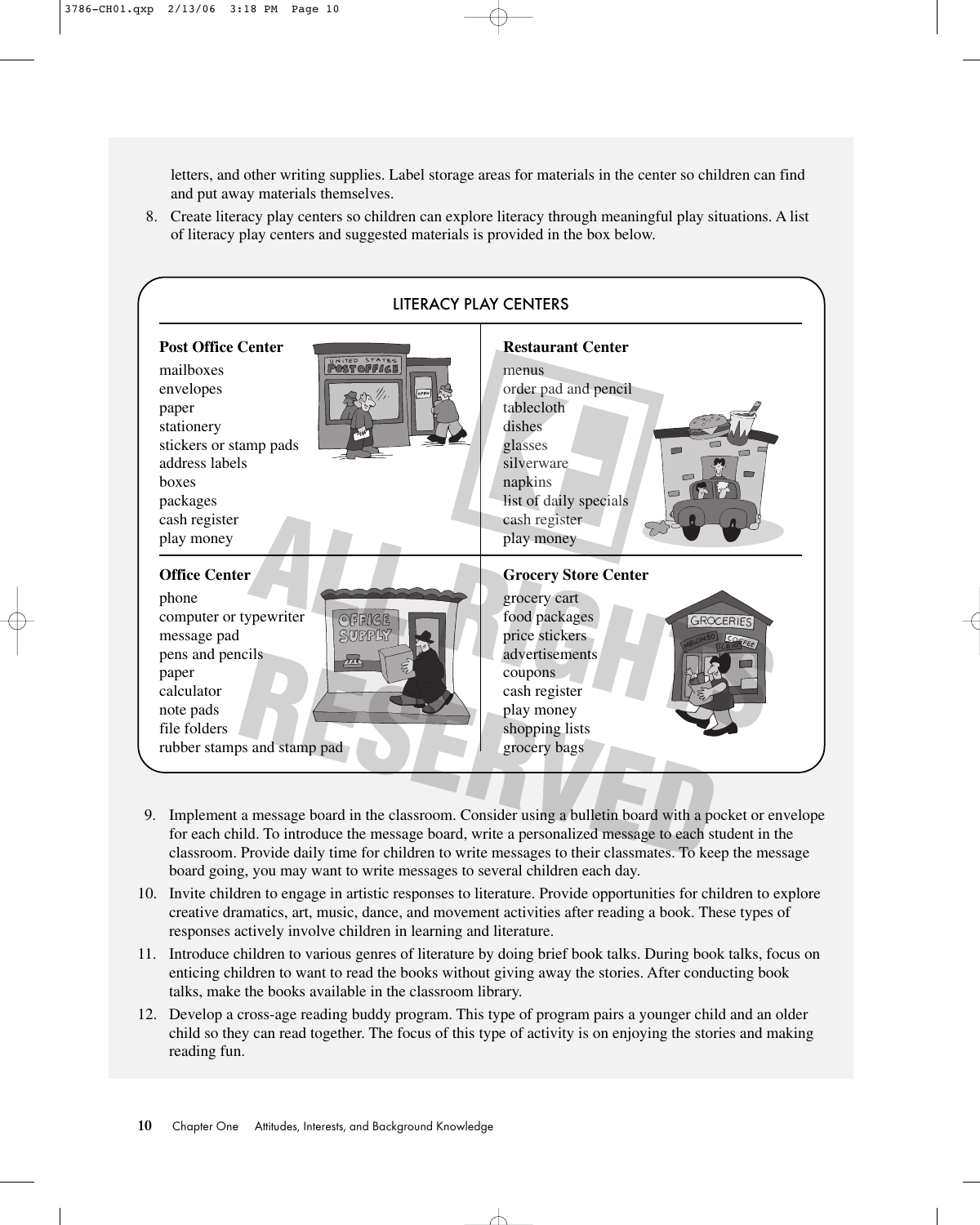letters, and other writing supplies. Label storage areas for materials in the center so children can find and put away materials themselves.

8. Create literacy play centers so children can explore literacy through meaningful play situations. A list of literacy play centers and suggested materials is provided in the box below.



- 9. Implement a message board in the classroom. Consider using a bulletin board with a pocket or envelope for each child. To introduce the message board, write a personalized message to each student in the classroom. Provide daily time for children to write messages to their classmates. To keep the message board going, you may want to write messages to several children each day.
- 10. Invite children to engage in artistic responses to literature. Provide opportunities for children to explore creative dramatics, art, music, dance, and movement activities after reading a book. These types of responses actively involve children in learning and literature.
- 11. Introduce children to various genres of literature by doing brief book talks. During book talks, focus on enticing children to want to read the books without giving away the stories. After conducting book talks, make the books available in the classroom library.
- 12. Develop a cross-age reading buddy program. This type of program pairs a younger child and an older child so they can read together. The focus of this type of activity is on enjoying the stories and making reading fun.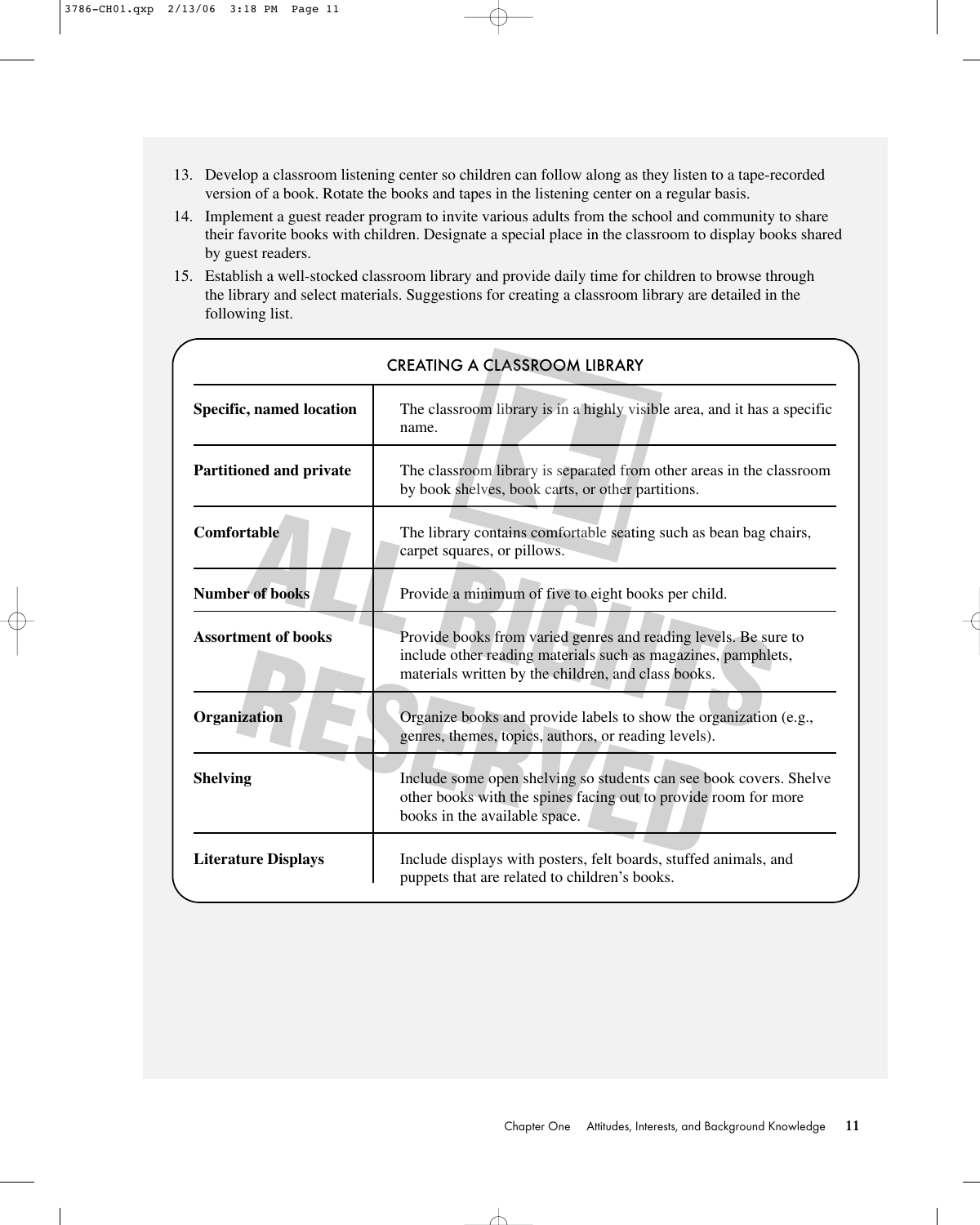- 13. Develop a classroom listening center so children can follow along as they listen to a tape-recorded version of a book. Rotate the books and tapes in the listening center on a regular basis.
- 14. Implement a guest reader program to invite various adults from the school and community to share their favorite books with children. Designate a special place in the classroom to display books shared by guest readers.
- 15. Establish a well-stocked classroom library and provide daily time for children to browse through the library and select materials. Suggestions for creating a classroom library are detailed in the following list.

| <b>Specific, named location</b> | The classroom library is in a highly visible area, and it has a specific<br>name.                                                                                                       |
|---------------------------------|-----------------------------------------------------------------------------------------------------------------------------------------------------------------------------------------|
| <b>Partitioned and private</b>  | The classroom library is separated from other areas in the classroom<br>by book shelves, book carts, or other partitions.                                                               |
| <b>Comfortable</b>              | The library contains comfortable seating such as bean bag chairs,<br>carpet squares, or pillows.                                                                                        |
| <b>Number of books</b>          | Provide a minimum of five to eight books per child.                                                                                                                                     |
| <b>Assortment of books</b>      | Provide books from varied genres and reading levels. Be sure to<br>include other reading materials such as magazines, pamphlets,<br>materials written by the children, and class books. |
| Organization                    | Organize books and provide labels to show the organization (e.g.,<br>genres, themes, topics, authors, or reading levels).                                                               |
| <b>Shelving</b>                 | Include some open shelving so students can see book covers. Shelve<br>other books with the spines facing out to provide room for more<br>books in the available space.                  |
| <b>Literature Displays</b>      | Include displays with posters, felt boards, stuffed animals, and<br>puppets that are related to children's books.                                                                       |

#### CREATING A CLASSROOM LIBRARY